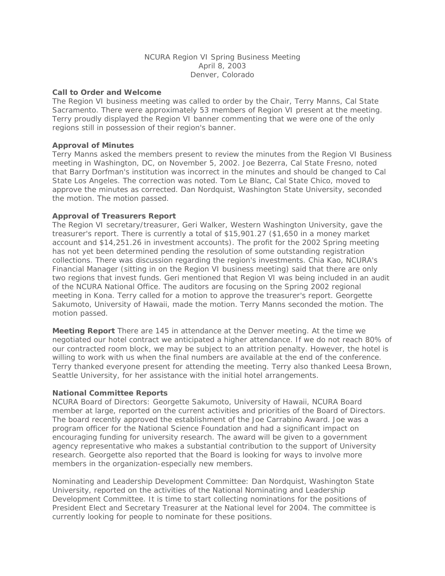# NCURA Region VI Spring Business Meeting April 8, 2003 Denver, Colorado

## **Call to Order and Welcome**

The Region VI business meeting was called to order by the Chair, Terry Manns, Cal State Sacramento. There were approximately 53 members of Region VI present at the meeting. Terry proudly displayed the Region VI banner commenting that we were one of the only regions still in possession of their region's banner.

### **Approval of Minutes**

Terry Manns asked the members present to review the minutes from the Region VI Business meeting in Washington, DC, on November 5, 2002. Joe Bezerra, Cal State Fresno, noted that Barry Dorfman's institution was incorrect in the minutes and should be changed to Cal State Los Angeles. The correction was noted. Tom Le Blanc, Cal State Chico, moved to approve the minutes as corrected. Dan Nordquist, Washington State University, seconded the motion. The motion passed.

### **Approval of Treasurers Report**

The Region VI secretary/treasurer, Geri Walker, Western Washington University, gave the treasurer's report. There is currently a total of \$15,901.27 (\$1,650 in a money market account and \$14,251.26 in investment accounts). The profit for the 2002 Spring meeting has not yet been determined pending the resolution of some outstanding registration collections. There was discussion regarding the region's investments. Chia Kao, NCURA's Financial Manager (sitting in on the Region VI business meeting) said that there are only two regions that invest funds. Geri mentioned that Region VI was being included in an audit of the NCURA National Office. The auditors are focusing on the Spring 2002 regional meeting in Kona. Terry called for a motion to approve the treasurer's report. Georgette Sakumoto, University of Hawaii, made the motion. Terry Manns seconded the motion. The motion passed.

**Meeting Report** There are 145 in attendance at the Denver meeting. At the time we negotiated our hotel contract we anticipated a higher attendance. If we do not reach 80% of our contracted room block, we may be subject to an attrition penalty. However, the hotel is willing to work with us when the final numbers are available at the end of the conference. Terry thanked everyone present for attending the meeting. Terry also thanked Leesa Brown, Seattle University, for her assistance with the initial hotel arrangements.

# **National Committee Reports**

NCURA Board of Directors: Georgette Sakumoto, University of Hawaii, NCURA Board member at large, reported on the current activities and priorities of the Board of Directors. The board recently approved the establishment of the Joe Carrabino Award. Joe was a program officer for the National Science Foundation and had a significant impact on encouraging funding for university research. The award will be given to a government agency representative who makes a substantial contribution to the support of University research. Georgette also reported that the Board is looking for ways to involve more members in the organization-especially new members.

Nominating and Leadership Development Committee: Dan Nordquist, Washington State University, reported on the activities of the National Nominating and Leadership Development Committee. It is time to start collecting nominations for the positions of President Elect and Secretary Treasurer at the National level for 2004. The committee is currently looking for people to nominate for these positions.